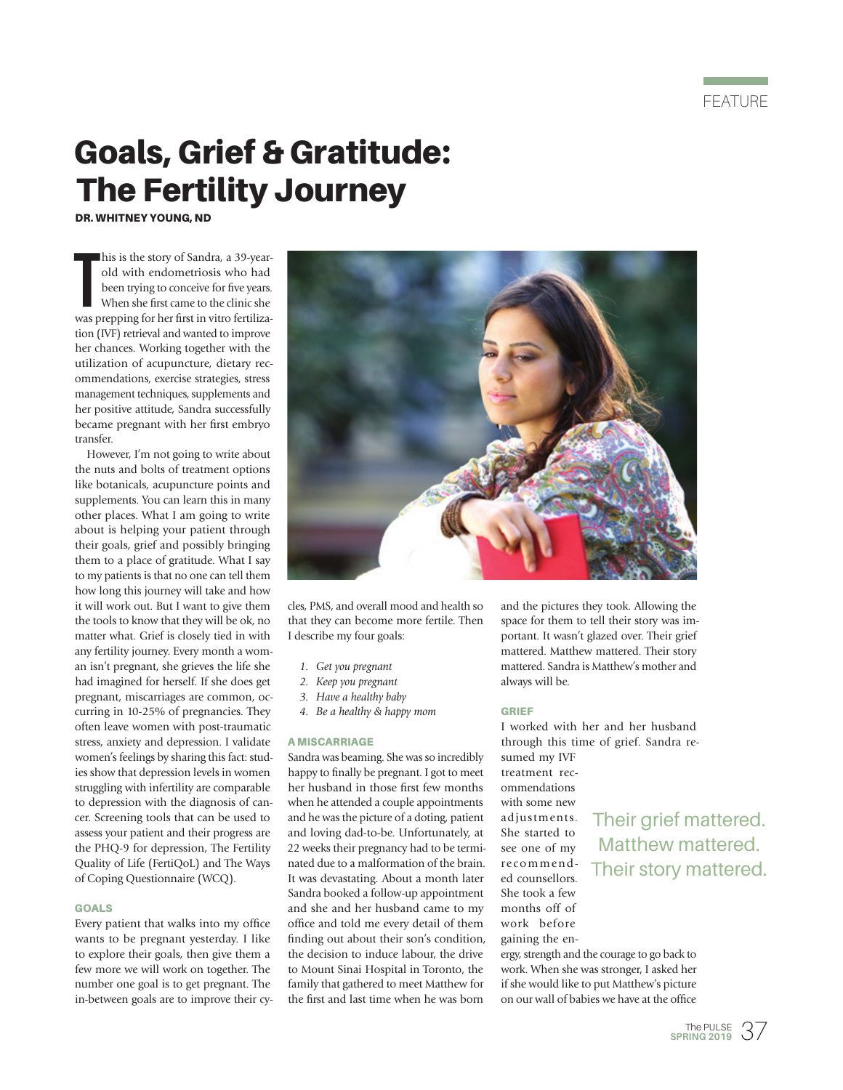# Goals, Grief & Gratitude: The Fertility Journey

DR. WHITNEY YOUNG, ND

his is the story of Sandra, a 39-year-<br>
old with endometriosis who had<br>
been trying to conceive for five years.<br>
When she first came to the clinic she<br>
was prepping for her first in vitro fertilizahis is the story of Sandra, a 39-yearold with endometriosis who had been trying to conceive for five years. When she first came to the clinic she tion (IVF) retrieval and wanted to improve her chances. Working together with the utilization of acupuncture, dietary recommendations, exercise strategies, stress management techniques, supplements and her positive attitude, Sandra successfully became pregnant with her first embryo transfer.

 However, I'm not going to write about the nuts and bolts of treatment options like botanicals, acupuncture points and supplements. You can learn this in many other places. What I am going to write about is helping your patient through their goals, grief and possibly bringing them to a place of gratitude. What I say to my patients is that no one can tell them how long this journey will take and how it will work out. But I want to give them the tools to know that they will be ok, no matter what. Grief is closely tied in with any fertility journey. Every month a woman isn't pregnant, she grieves the life she had imagined for herself. If she does get pregnant, miscarriages are common, occurring in 10-25% of pregnancies. They often leave women with post-traumatic stress, anxiety and depression. I validate women's feelings by sharing this fact: studies show that depression levels in women struggling with infertility are comparable to depression with the diagnosis of cancer. Screening tools that can be used to assess your patient and their progress are the PHQ-9 for depression, The Fertility Quality of Life (FertiQoL) and The Ways of Coping Questionnaire (WCQ).

# GOALS

Every patient that walks into my office wants to be pregnant yesterday. I like to explore their goals, then give them a few more we will work on together. The number one goal is to get pregnant. The in-between goals are to improve their cy-



cles, PMS, and overall mood and health so that they can become more fertile. Then I describe my four goals:

- *1. Get you pregnant*
- *2. Keep you pregnant*
- *3. Have a healthy baby*
- *4. Be a healthy & happy mom*

## A MISCARRIAGE

Sandra was beaming. She was so incredibly happy to finally be pregnant. I got to meet her husband in those first few months when he attended a couple appointments and he was the picture of a doting, patient and loving dad-to-be. Unfortunately, at 22 weeks their pregnancy had to be terminated due to a malformation of the brain. It was devastating. About a month later Sandra booked a follow-up appointment and she and her husband came to my office and told me every detail of them finding out about their son's condition, the decision to induce labour, the drive to Mount Sinai Hospital in Toronto, the family that gathered to meet Matthew for the first and last time when he was born

and the pictures they took. Allowing the space for them to tell their story was important. It wasn't glazed over. Their grief mattered. Matthew mattered. Their story mattered. Sandra is Matthew's mother and always will be.

#### GRIEF

I worked with her and her husband through this time of grief. Sandra re-

sumed my IVF treatment recommendations with some new adjustments. She started to see one of my recommended counsellors. She took a few months off of work before gaining the en-

ergy, strength and the courage to go back to work. When she was stronger, I asked her if she would like to put Matthew's picture on our wall of babies we have at the office

# Their grief mattered. Matthew mattered. Their story mattered.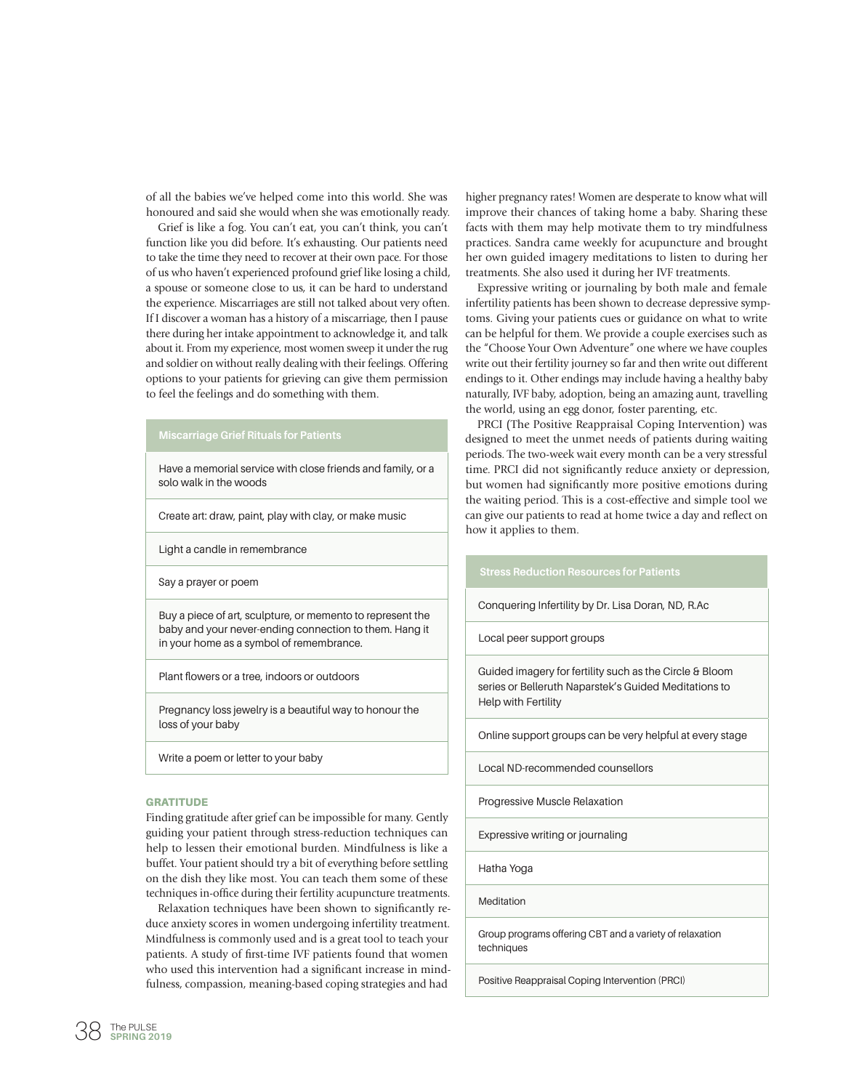of all the babies we've helped come into this world. She was honoured and said she would when she was emotionally ready.

Grief is like a fog. You can't eat, you can't think, you can't function like you did before. It's exhausting. Our patients need to take the time they need to recover at their own pace. For those of us who haven't experienced profound grief like losing a child, a spouse or someone close to us, it can be hard to understand the experience. Miscarriages are still not talked about very often. If I discover a woman has a history of a miscarriage, then I pause there during her intake appointment to acknowledge it, and talk about it. From my experience, most women sweep it under the rug and soldier on without really dealing with their feelings. Offering options to your patients for grieving can give them permission to feel the feelings and do something with them.

## **Miscarriage Grief Rituals for Patients**

Have a memorial service with close friends and family, or a solo walk in the woods

Create art: draw, paint, play with clay, or make music

Light a candle in remembrance

Say a prayer or poem

Buy a piece of art, sculpture, or memento to represent the baby and your never-ending connection to them. Hang it in your home as a symbol of remembrance.

Plant flowers or a tree, indoors or outdoors

Pregnancy loss jewelry is a beautiful way to honour the loss of your baby

Write a poem or letter to your baby

#### **GRATITUDE**

Finding gratitude after grief can be impossible for many. Gently guiding your patient through stress-reduction techniques can help to lessen their emotional burden. Mindfulness is like a buffet. Your patient should try a bit of everything before settling on the dish they like most. You can teach them some of these techniques in-office during their fertility acupuncture treatments.

Relaxation techniques have been shown to significantly reduce anxiety scores in women undergoing infertility treatment. Mindfulness is commonly used and is a great tool to teach your patients. A study of first-time IVF patients found that women who used this intervention had a significant increase in mindfulness, compassion, meaning-based coping strategies and had

higher pregnancy rates! Women are desperate to know what will improve their chances of taking home a baby. Sharing these facts with them may help motivate them to try mindfulness practices. Sandra came weekly for acupuncture and brought her own guided imagery meditations to listen to during her treatments. She also used it during her IVF treatments.

Expressive writing or journaling by both male and female infertility patients has been shown to decrease depressive symptoms. Giving your patients cues or guidance on what to write can be helpful for them. We provide a couple exercises such as the "Choose Your Own Adventure" one where we have couples write out their fertility journey so far and then write out different endings to it. Other endings may include having a healthy baby naturally, IVF baby, adoption, being an amazing aunt, travelling the world, using an egg donor, foster parenting, etc.

PRCI (The Positive Reappraisal Coping Intervention) was designed to meet the unmet needs of patients during waiting periods. The two-week wait every month can be a very stressful time. PRCI did not significantly reduce anxiety or depression, but women had significantly more positive emotions during the waiting period. This is a cost-effective and simple tool we can give our patients to read at home twice a day and reflect on how it applies to them.

# **Stress Reduction Resources for Patients**

Conquering Infertility by Dr. Lisa Doran, ND, R.Ac

Local peer support groups

Guided imagery for fertility such as the Circle & Bloom series or Belleruth Naparstek's Guided Meditations to Help with Fertility

Online support groups can be very helpful at every stage

Local ND-recommended counsellors

Progressive Muscle Relaxation

Expressive writing or journaling

Hatha Yoga

Meditation

Group programs offering CBT and a variety of relaxation techniques

Positive Reappraisal Coping Intervention (PRCI)